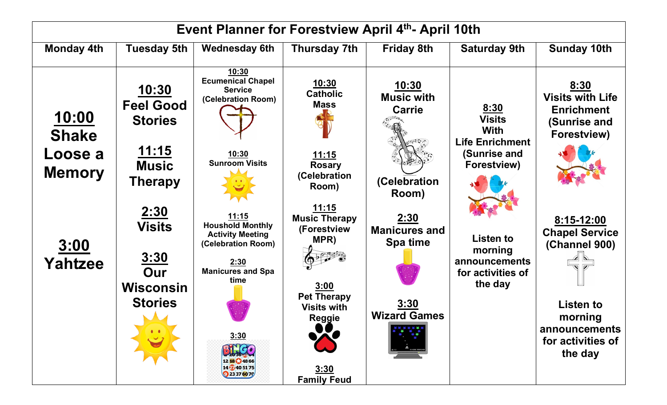